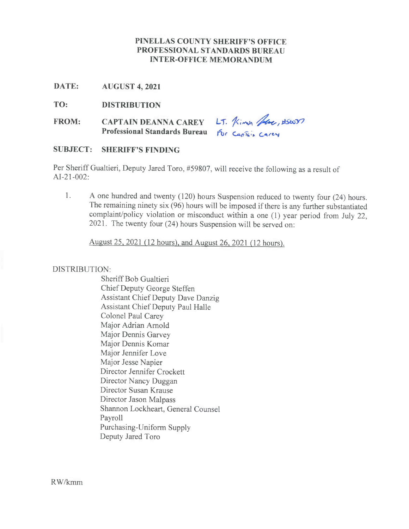### **PINELLAS COUNTY SHERIFF'S OFFICE PROFESSIONAL STANDARDS BUREAU INTER-OFFICE MEMORANDUM**

**DATE: AUGUST 4, 2021**

**TO: DISTRIBUTION**

**FROM: CAPTAIN DEANNA CAREY** LT. *Kimin floot*, 196077<br>
CAPTAIN DEANNA CAREY LT. *Kimin floot*, 196077<br>
Professional Standards Bureau for Captain Carey **PROFESSION CAREY** LT. Kimin Have, US6037

#### **SUBJECT: SHERIFF'S FINDING**

Per Sheriff Gualtieri, Deputy Jared Toro, #59807, will receive the following as a result of AI-21-002:

1. A one hundred and twenty (120) hours Suspension reduced to twenty four (24) hours. The remaining ninety six (96) hours will be imposed if there is any further substantiated complaint/policy violation or misconduct within a one (1) year period from July 22, 2021. The twenty four (24) hours Suspension will be served on:

August 25, 2021*(12* hours), and August 26, 2021 *(12* hours).

#### DISTRIBUTION:

Sheriff Bob Gualtieri Chief Deputy George Steffen Assistant Chief Deputy Dave Danzig Assistant Chief Deputy Paul Halle Colonel Paul Carey Major Adrian Arnold Major Dennis Garvey Major Dennis Komar Major Jennifer Love Major Jesse Napier Director Jennifer Crockett Director Nancy Duggan Director Susan Krause Director Jason Malpass Shannon Lockheart, General Counsel Payroll Purchasing-Uniform Supply Deputy Jared Toro

RW/kmm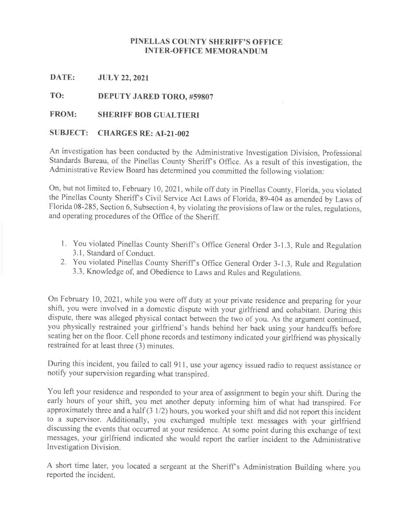# **PINELLAS COUNTY SHERIFF'S OFFICE INTER-OFFICE MEMORANDUM**

**DATE: JULY 22, 2021**

**TO: DEPUTY JARED TORO, #59807**

# **FROM: SHERIFF BOB GUALTIERI**

# **SUBJECT: CHARGES RE: AI-21-002**

An investigation has been conducted by the Administrative Investigation Division, Professional Standards Bureau, of the Pinellas County Sheriff's Office. As a result of this investigation, the Administrative Review Board has determined you committed the following violation:

On, but not limited to, February 10, 2021, while off duty in Pinellas County, Florida, you violated the Pinellas County Sheriffs Civil Service Act Laws of Florida, 89-404 as amended by Laws of Florida 08-285, Section 6, Subsection 4, by violating the provisions of law or the rules, regulations, and operating procedures of the Office of the Sheriff.

- 1. You violated Pinellas County Sheriff's Office General Order 3-1.3, Rule and Regulation 3.1, Standard of Conduct.
- 2. You violated Pinellas County Sheriff's Office General Order 3-1.3, Rule and Regulation 3.3, Knowledge of, and Obedience to Laws and Rules and Regulations.

On February 10, 2021, while you were off duty at your private residence and preparing for your shift, you were involved in a domestic dispute with your girlfriend and cohabitant. During this dispute, there was alleged physical contact between the two of you. As the argument continued, you physically restrained your girlfriend's hands behind her back using your handcuffs before seating her on the floor. Cell phone records and testimony indicated your girlfriend was physically restrained for at least three (3) minutes.

During this incident, you failed to call 911, use your agency issued radio to request assistance or notify your supervision regarding what transpired.

You left your residence and responded to your area of assignment to begin your shift. During the early hours of your shift, you met another deputy informing him of what had transpired. For approximately three and a half(3 1/2) hours, you worked your shift and did not report this incident to a supervisor. Additionally, you exchanged multiple text messages with your girlfriend discussing the events that occurred at your residence. At some point during this exchange of text messages, your girlfriend indicated she would report the earlier incident to the Administrative Investigation Division.

A short time later, you located a sergeant at the Sheriff's Administration Building where you reported the incident.